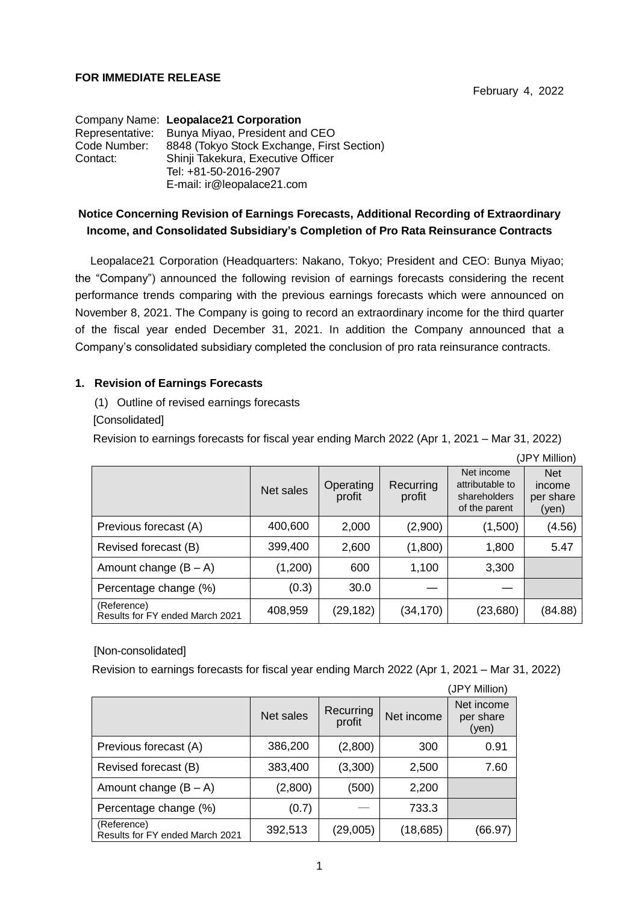### **FOR IMMEDIATE RELEASE**

|              | Company Name: Leopalace21 Corporation          |  |  |  |  |  |
|--------------|------------------------------------------------|--|--|--|--|--|
|              | Representative: Bunya Miyao, President and CEO |  |  |  |  |  |
| Code Number: | 8848 (Tokyo Stock Exchange, First Section)     |  |  |  |  |  |
| Contact:     | Shinji Takekura, Executive Officer             |  |  |  |  |  |
|              | Tel: +81-50-2016-2907                          |  |  |  |  |  |
|              | E-mail: ir@leopalace21.com                     |  |  |  |  |  |

# **Notice Concerning Revision of Earnings Forecasts, Additional Recording of Extraordinary Income, and Consolidated Subsidiary's Completion of Pro Rata Reinsurance Contracts**

Leopalace21 Corporation (Headquarters: Nakano, Tokyo; President and CEO: Bunya Miyao; the "Company") announced the following revision of earnings forecasts considering the recent performance trends comparing with the previous earnings forecasts which were announced on November 8, 2021. The Company is going to record an extraordinary income for the third quarter of the fiscal year ended December 31, 2021. In addition the Company announced that a Company's consolidated subsidiary completed the conclusion of pro rata reinsurance contracts.

## **1. Revision of Earnings Forecasts**

(1) Outline of revised earnings forecasts

[Consolidated]

Revision to earnings forecasts for fiscal year ending March 2022 (Apr 1, 2021 – Mar 31, 2022)

|                                                |           |                     |                     |                                                                | (JPY Million)                              |
|------------------------------------------------|-----------|---------------------|---------------------|----------------------------------------------------------------|--------------------------------------------|
|                                                | Net sales | Operating<br>profit | Recurring<br>profit | Net income<br>attributable to<br>shareholders<br>of the parent | <b>Net</b><br>income<br>per share<br>(yen) |
| Previous forecast (A)                          | 400,600   | 2,000               | (2,900)             | (1,500)                                                        | (4.56)                                     |
| Revised forecast (B)                           | 399,400   | 2,600               | (1,800)             | 1,800                                                          | 5.47                                       |
| Amount change $(B - A)$                        | (1,200)   | 600                 | 1,100               | 3,300                                                          |                                            |
| Percentage change (%)                          | (0.3)     | 30.0                |                     |                                                                |                                            |
| (Reference)<br>Results for FY ended March 2021 | 408,959   | (29, 182)           | (34,170)            | (23,680)                                                       | (84.88)                                    |

# [Non-consolidated]

Revision to earnings forecasts for fiscal year ending March 2022 (Apr 1, 2021 – Mar 31, 2022)

|                                                |           |                     |            | (JPY Million)                    |
|------------------------------------------------|-----------|---------------------|------------|----------------------------------|
|                                                | Net sales | Recurring<br>profit | Net income | Net income<br>per share<br>(yen) |
| Previous forecast (A)                          | 386,200   | (2,800)             | 300        | 0.91                             |
| Revised forecast (B)                           | 383,400   | (3,300)             | 2,500      | 7.60                             |
| Amount change $(B - A)$                        | (2,800)   | (500)               | 2,200      |                                  |
| Percentage change (%)                          | (0.7)     |                     | 733.3      |                                  |
| (Reference)<br>Results for FY ended March 2021 | 392,513   | (29,005)            | (18, 685)  | (66.97)                          |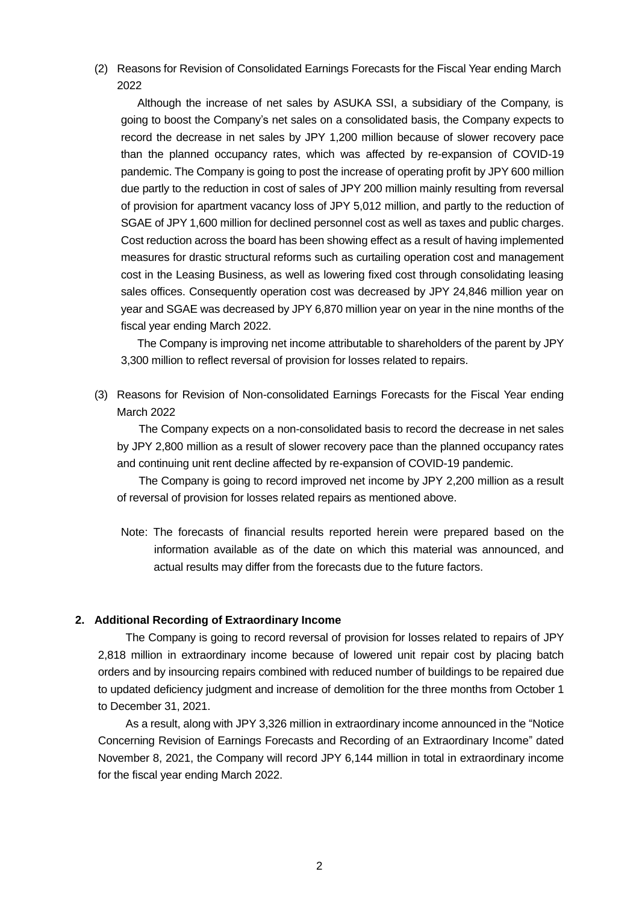(2) Reasons for Revision of Consolidated Earnings Forecasts for the Fiscal Year ending March 2022

Although the increase of net sales by ASUKA SSI, a subsidiary of the Company, is going to boost the Company's net sales on a consolidated basis, the Company expects to record the decrease in net sales by JPY 1,200 million because of slower recovery pace than the planned occupancy rates, which was affected by re-expansion of COVID-19 pandemic. The Company is going to post the increase of operating profit by JPY 600 million due partly to the reduction in cost of sales of JPY 200 million mainly resulting from reversal of provision for apartment vacancy loss of JPY 5,012 million, and partly to the reduction of SGAE of JPY 1,600 million for declined personnel cost as well as taxes and public charges. Cost reduction across the board has been showing effect as a result of having implemented measures for drastic structural reforms such as curtailing operation cost and management cost in the Leasing Business, as well as lowering fixed cost through consolidating leasing sales offices. Consequently operation cost was decreased by JPY 24,846 million year on year and SGAE was decreased by JPY 6,870 million year on year in the nine months of the fiscal year ending March 2022.

The Company is improving net income attributable to shareholders of the parent by JPY 3,300 million to reflect reversal of provision for losses related to repairs.

(3) Reasons for Revision of Non-consolidated Earnings Forecasts for the Fiscal Year ending March 2022

 The Company expects on a non-consolidated basis to record the decrease in net sales by JPY 2,800 million as a result of slower recovery pace than the planned occupancy rates and continuing unit rent decline affected by re-expansion of COVID-19 pandemic.

 The Company is going to record improved net income by JPY 2,200 million as a result of reversal of provision for losses related repairs as mentioned above.

Note: The forecasts of financial results reported herein were prepared based on the information available as of the date on which this material was announced, and actual results may differ from the forecasts due to the future factors.

#### **2. Additional Recording of Extraordinary Income**

The Company is going to record reversal of provision for losses related to repairs of JPY 2,818 million in extraordinary income because of lowered unit repair cost by placing batch orders and by insourcing repairs combined with reduced number of buildings to be repaired due to updated deficiency judgment and increase of demolition for the three months from October 1 to December 31, 2021.

As a result, along with JPY 3,326 million in extraordinary income announced in the "Notice Concerning Revision of Earnings Forecasts and Recording of an Extraordinary Income" dated November 8, 2021, the Company will record JPY 6,144 million in total in extraordinary income for the fiscal year ending March 2022.